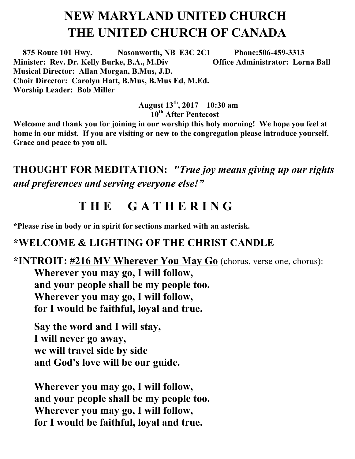# **NEW MARYLAND UNITED CHURCH THE UNITED CHURCH OF CANADA**

 **875 Route 101 Hwy. Nasonworth, NB E3C 2C1 Phone:506-459-3313 Minister: Rev. Dr. Kelly Burke, B.A., M.Div Office Administrator: Lorna Ball Musical Director: Allan Morgan, B.Mus, J.D. Choir Director: Carolyn Hatt, B.Mus, B.Mus Ed, M.Ed. Worship Leader: Bob Miller** 

> **August 13th , 2017 10:30 am 10th After Pentecost**

**Welcome and thank you for joining in our worship this holy morning! We hope you feel at home in our midst. If you are visiting or new to the congregation please introduce yourself. Grace and peace to you all.**

**THOUGHT FOR MEDITATION:** *"True joy means giving up our rights and preferences and serving everyone else!"*

## **T H E G A T H E R I N G**

**\*Please rise in body or in spirit for sections marked with an asterisk.**

#### **\*WELCOME & LIGHTING OF THE CHRIST CANDLE**

## **\*INTROIT: #216 MV Wherever You May Go** (chorus, verse one, chorus): **Wherever you may go, I will follow, and your people shall be my people too. Wherever you may go, I will follow, for I would be faithful, loyal and true.**

**Say the word and I will stay, I will never go away, we will travel side by side and God's love will be our guide.** 

**Wherever you may go, I will follow, and your people shall be my people too. Wherever you may go, I will follow, for I would be faithful, loyal and true.**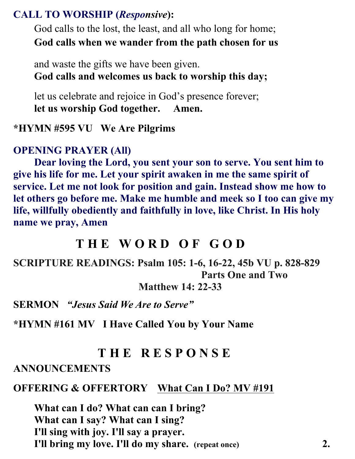### **CALL TO WORSHIP (***Responsive***):**

God calls to the lost, the least, and all who long for home; **God calls when we wander from the path chosen for us**

and waste the gifts we have been given. **God calls and welcomes us back to worship this day;**

let us celebrate and rejoice in God's presence forever; **let us worship God together. Amen.**

#### **\*HYMN #595 VU We Are Pilgrims**

#### **OPENING PRAYER (All)**

**Dear loving the Lord, you sent your son to serve. You sent him to give his life for me. Let your spirit awaken in me the same spirit of service. Let me not look for position and gain. Instead show me how to let others go before me. Make me humble and meek so I too can give my life, willfully obediently and faithfully in love, like Christ. In His holy name we pray, Amen**

## **T H E W O R D O F G O D**

**SCRIPTURE READINGS: Psalm 105: 1-6, 16-22, 45b VU p. 828-829 Parts One and Two** 

**Matthew 14: 22-33** 

**SERMON** *"Jesus Said We Are to Serve"*

**\*HYMN #161 MV I Have Called You by Your Name** 

## **T H E R E S P O N S E**

#### **ANNOUNCEMENTS**

#### **OFFERING & OFFERTORY What Can I Do? MV #191**

**What can I do? What can can I bring? What can I say? What can I sing? I'll sing with joy. I'll say a prayer. I'll bring my love. I'll do my share. (repeat once) 2.**